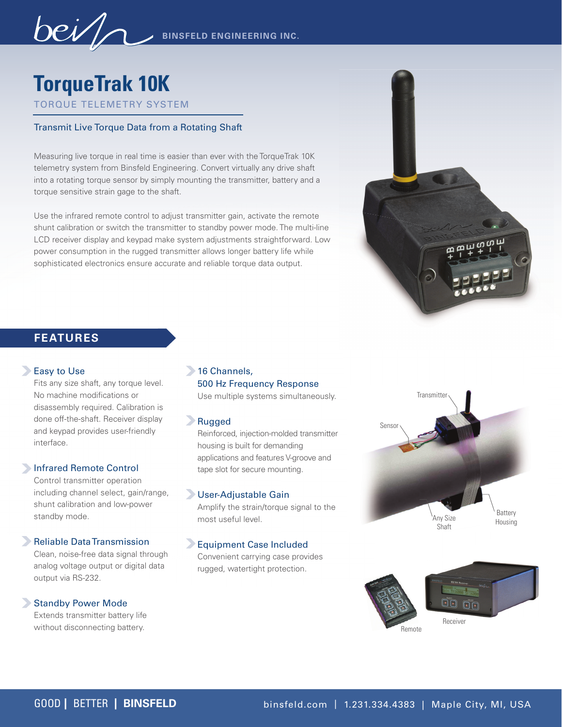**TorqueTrak 10k**

TORQUE TELEMETRY SYSTEM

# Transmit Live Torque Data from a Rotating Shaft

Measuring live torque in real time is easier than ever with the TorqueTrak 10K telemetry system from Binsfeld Engineering. Convert virtually any drive shaft into a rotating torque sensor by simply mounting the transmitter, battery and a torque sensitive strain gage to the shaft.

Use the infrared remote control to adjust transmitter gain, activate the remote shunt calibration or switch the transmitter to standby power mode. The multi-line LCD receiver display and keypad make system adjustments straightforward. Low power consumption in the rugged transmitter allows longer battery life while sophisticated electronics ensure accurate and reliable torque data output.



# **FEATURES**

#### **Easy to Use**

Fits any size shaft, any torque level. No machine modifications or disassembly required. Calibration is done off-the-shaft. Receiver display and keypad provides user-friendly interface.

## Infrared Remote Control

Control transmitter operation including channel select, gain/range, shunt calibration and low-power standby mode.

#### **Reliable Data Transmission**

Clean, noise-free data signal through analog voltage output or digital data output via RS-232.

#### Standby Power Mode

Extends transmitter battery life without disconnecting battery.

# 16 Channels, 500 Hz Frequency Response

Use multiple systems simultaneously.

## Rugged

Reinforced, injection-molded transmitter housing is built for demanding applications and features V-groove and tape slot for secure mounting.

# User-Adjustable Gain

Amplify the strain/torque signal to the most useful level.

# Equipment Case Included

Convenient carrying case provides rugged, watertight protection.